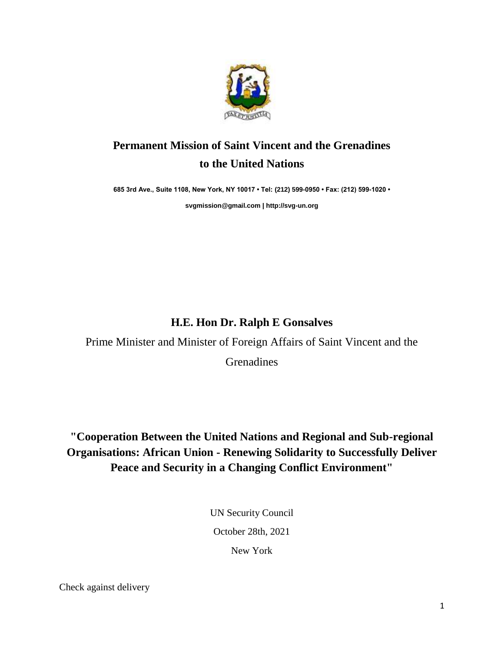

## **Permanent Mission of Saint Vincent and the Grenadines to the United Nations**

**685 3rd Ave., Suite 1108, New York, NY 10017 • Tel: (212) 599-0950 • Fax: (212) 599-1020 •** 

**[svgmission@gmail.com](mailto:svgmission@gmail.com) [| http://svg-un.org](http://svg-un.org/)**

## **H.E. Hon Dr. Ralph E Gonsalves**

Prime Minister and Minister of Foreign Affairs of Saint Vincent and the

**Grenadines** 

## **"Cooperation Between the United Nations and Regional and Sub-regional Organisations: African Union - Renewing Solidarity to Successfully Deliver Peace and Security in a Changing Conflict Environment"**

UN Security Council

October 28th, 2021

New York

Check against delivery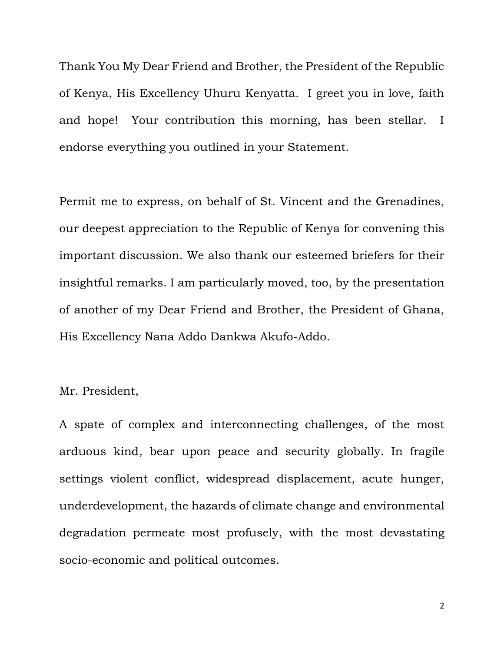Thank You My Dear Friend and Brother, the President of the Republic of Kenya, His Excellency Uhuru Kenyatta. I greet you in love, faith and hope! Your contribution this morning, has been stellar. I endorse everything you outlined in your Statement.

Permit me to express, on behalf of St. Vincent and the Grenadines, our deepest appreciation to the Republic of Kenya for convening this important discussion. We also thank our esteemed briefers for their insightful remarks. I am particularly moved, too, by the presentation of another of my Dear Friend and Brother, the President of Ghana, His Excellency Nana Addo Dankwa Akufo-Addo.

## Mr. President,

A spate of complex and interconnecting challenges, of the most arduous kind, bear upon peace and security globally. In fragile settings violent conflict, widespread displacement, acute hunger, underdevelopment, the hazards of climate change and environmental degradation permeate most profusely, with the most devastating socio-economic and political outcomes.

2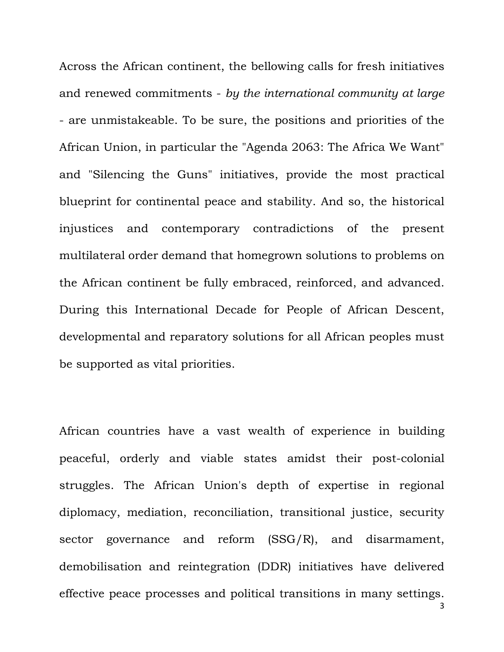Across the African continent, the bellowing calls for fresh initiatives and renewed commitments - *by the international community at large* - are unmistakeable. To be sure, the positions and priorities of the African Union, in particular the "Agenda 2063: The Africa We Want" and "Silencing the Guns" initiatives, provide the most practical blueprint for continental peace and stability. And so, the historical injustices and contemporary contradictions of the present multilateral order demand that homegrown solutions to problems on the African continent be fully embraced, reinforced, and advanced. During this International Decade for People of African Descent, developmental and reparatory solutions for all African peoples must be supported as vital priorities.

African countries have a vast wealth of experience in building peaceful, orderly and viable states amidst their post-colonial struggles. The African Union's depth of expertise in regional diplomacy, mediation, reconciliation, transitional justice, security sector governance and reform (SSG/R), and disarmament, demobilisation and reintegration (DDR) initiatives have delivered effective peace processes and political transitions in many settings.

3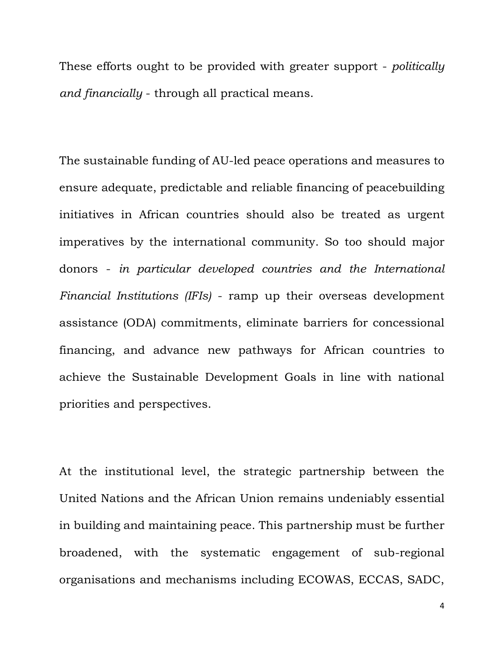These efforts ought to be provided with greater support - *politically and financially* - through all practical means.

The sustainable funding of AU-led peace operations and measures to ensure adequate, predictable and reliable financing of peacebuilding initiatives in African countries should also be treated as urgent imperatives by the international community. So too should major donors - *in particular developed countries and the International Financial Institutions (IFIs)* - ramp up their overseas development assistance (ODA) commitments, eliminate barriers for concessional financing, and advance new pathways for African countries to achieve the Sustainable Development Goals in line with national priorities and perspectives.

At the institutional level, the strategic partnership between the United Nations and the African Union remains undeniably essential in building and maintaining peace. This partnership must be further broadened, with the systematic engagement of sub-regional organisations and mechanisms including ECOWAS, ECCAS, SADC,

4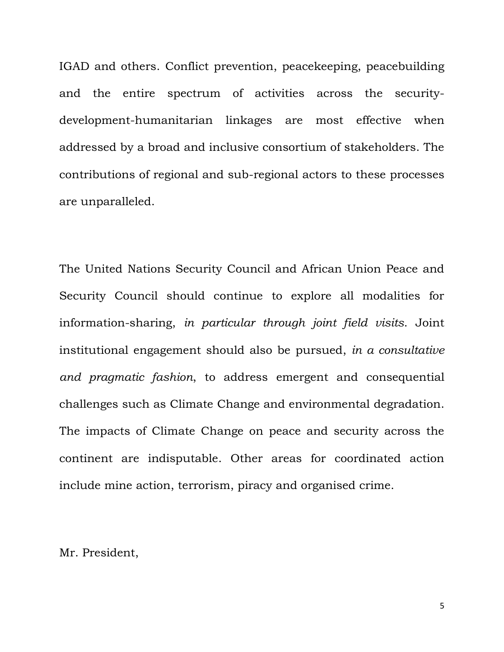IGAD and others. Conflict prevention, peacekeeping, peacebuilding and the entire spectrum of activities across the securitydevelopment-humanitarian linkages are most effective when addressed by a broad and inclusive consortium of stakeholders. The contributions of regional and sub-regional actors to these processes are unparalleled.

The United Nations Security Council and African Union Peace and Security Council should continue to explore all modalities for information-sharing, *in particular through joint field visits*. Joint institutional engagement should also be pursued, *in a consultative and pragmatic fashion*, to address emergent and consequential challenges such as Climate Change and environmental degradation. The impacts of Climate Change on peace and security across the continent are indisputable. Other areas for coordinated action include mine action, terrorism, piracy and organised crime.

Mr. President,